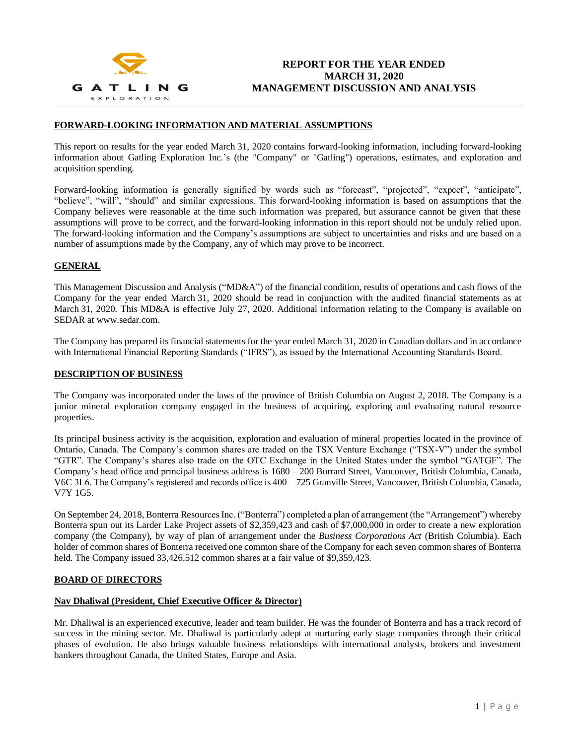

## **FORWARD-LOOKING INFORMATION AND MATERIAL ASSUMPTIONS**

This report on results for the year ended March 31, 2020 contains forward-looking information, including forward-looking information about Gatling Exploration Inc.'s (the "Company" or "Gatling") operations, estimates, and exploration and acquisition spending.

Forward-looking information is generally signified by words such as "forecast", "projected", "expect", "anticipate", "believe", "will", "should" and similar expressions. This forward-looking information is based on assumptions that the Company believes were reasonable at the time such information was prepared, but assurance cannot be given that these assumptions will prove to be correct, and the forward-looking information in this report should not be unduly relied upon. The forward-looking information and the Company's assumptions are subject to uncertainties and risks and are based on a number of assumptions made by the Company, any of which may prove to be incorrect.

## **GENERAL**

This Management Discussion and Analysis ("MD&A") of the financial condition, results of operations and cash flows of the Company for the year ended March 31, 2020 should be read in conjunction with the audited financial statements as at March 31, 2020. This MD&A is effective July 27, 2020. Additional information relating to the Company is available on SEDAR at www.sedar.com.

The Company has prepared its financial statements for the year ended March 31, 2020 in Canadian dollars and in accordance with International Financial Reporting Standards ("IFRS"), as issued by the International Accounting Standards Board.

#### **DESCRIPTION OF BUSINESS**

The Company was incorporated under the laws of the province of British Columbia on August 2, 2018. The Company is a junior mineral exploration company engaged in the business of acquiring, exploring and evaluating natural resource properties.

Its principal business activity is the acquisition, exploration and evaluation of mineral properties located in the province of Ontario, Canada. The Company's common shares are traded on the TSX Venture Exchange ("TSX-V") under the symbol "GTR". The Company's shares also trade on the OTC Exchange in the United States under the symbol "GATGF". The Company's head office and principal business address is 1680 – 200 Burrard Street, Vancouver, British Columbia, Canada, V6C 3L6. The Company's registered and records office is 400 – 725 Granville Street, Vancouver, British Columbia, Canada, V7Y 1G5.

On September 24, 2018, Bonterra Resources Inc. ("Bonterra") completed a plan of arrangement (the "Arrangement") whereby Bonterra spun out its Larder Lake Project assets of \$2,359,423 and cash of \$7,000,000 in order to create a new exploration company (the Company), by way of plan of arrangement under the *Business Corporations Act* (British Columbia). Each holder of common shares of Bonterra received one common share of the Company for each seven common shares of Bonterra held. The Company issued 33,426,512 common shares at a fair value of \$9,359,423.

## **BOARD OF DIRECTORS**

#### **Nav Dhaliwal (President, Chief Executive Officer & Director)**

Mr. Dhaliwal is an experienced executive, leader and team builder. He was the founder of Bonterra and has a track record of success in the mining sector. Mr. Dhaliwal is particularly adept at nurturing early stage companies through their critical phases of evolution. He also brings valuable business relationships with international analysts, brokers and investment bankers throughout Canada, the United States, Europe and Asia.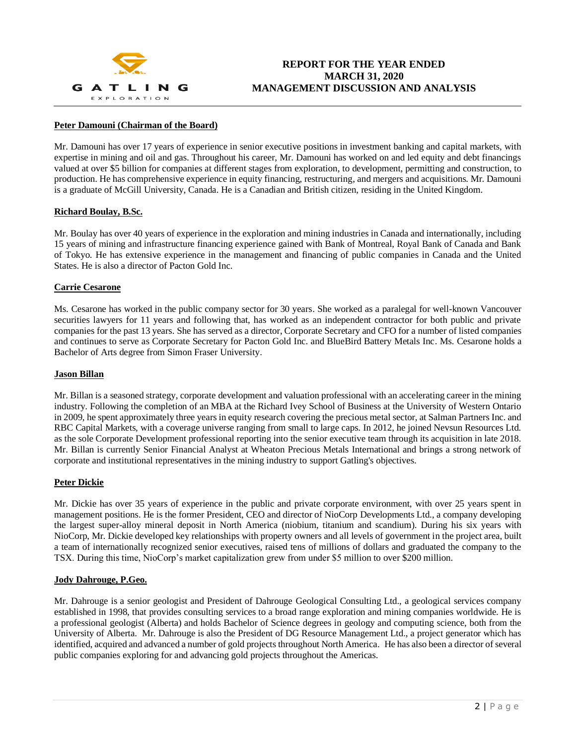

## **Peter Damouni (Chairman of the Board)**

Mr. Damouni has over 17 years of experience in senior executive positions in investment banking and capital markets, with expertise in mining and oil and gas. Throughout his career, Mr. Damouni has worked on and led equity and debt financings valued at over \$5 billion for companies at different stages from exploration, to development, permitting and construction, to production. He has comprehensive experience in equity financing, restructuring, and mergers and acquisitions. Mr. Damouni is a graduate of McGill University, Canada. He is a Canadian and British citizen, residing in the United Kingdom.

#### **Richard Boulay, B.Sc.**

Mr. Boulay has over 40 years of experience in the exploration and mining industries in Canada and internationally, including 15 years of mining and infrastructure financing experience gained with Bank of Montreal, Royal Bank of Canada and Bank of Tokyo. He has extensive experience in the management and financing of public companies in Canada and the United States. He is also a director of Pacton Gold Inc.

## **Carrie Cesarone**

Ms. Cesarone has worked in the public company sector for 30 years. She worked as a paralegal for well-known Vancouver securities lawyers for 11 years and following that, has worked as an independent contractor for both public and private companies for the past 13 years. She has served as a director, Corporate Secretary and CFO for a number of listed companies and continues to serve as Corporate Secretary for Pacton Gold Inc. and BlueBird Battery Metals Inc. Ms. Cesarone holds a Bachelor of Arts degree from Simon Fraser University.

### **Jason Billan**

Mr. Billan is a seasoned strategy, corporate development and valuation professional with an accelerating career in the mining industry. Following the completion of an MBA at the Richard Ivey School of Business at the University of Western Ontario in 2009, he spent approximately three years in equity research covering the precious metal sector, at Salman Partners Inc. and RBC Capital Markets, with a coverage universe ranging from small to large caps. In 2012, he joined Nevsun Resources Ltd. as the sole Corporate Development professional reporting into the senior executive team through its acquisition in late 2018. Mr. Billan is currently Senior Financial Analyst at Wheaton Precious Metals International and brings a strong network of corporate and institutional representatives in the mining industry to support Gatling's objectives.

#### **Peter Dickie**

Mr. Dickie has over 35 years of experience in the public and private corporate environment, with over 25 years spent in management positions. He is the former President, CEO and director of NioCorp Developments Ltd., a company developing the largest super-alloy mineral deposit in North America (niobium, titanium and scandium). During his six years with NioCorp, Mr. Dickie developed key relationships with property owners and all levels of government in the project area, built a team of internationally recognized senior executives, raised tens of millions of dollars and graduated the company to the TSX. During this time, NioCorp's market capitalization grew from under \$5 million to over \$200 million.

### **Jody Dahrouge, P.Geo.**

Mr. Dahrouge is a senior geologist and President of Dahrouge Geological Consulting Ltd., a geological services company established in 1998, that provides consulting services to a broad range exploration and mining companies worldwide. He is a professional geologist (Alberta) and holds Bachelor of Science degrees in geology and computing science, both from the University of Alberta. Mr. Dahrouge is also the President of DG Resource Management Ltd., a project generator which has identified, acquired and advanced a number of gold projects throughout North America. He has also been a director of several public companies exploring for and advancing gold projects throughout the Americas.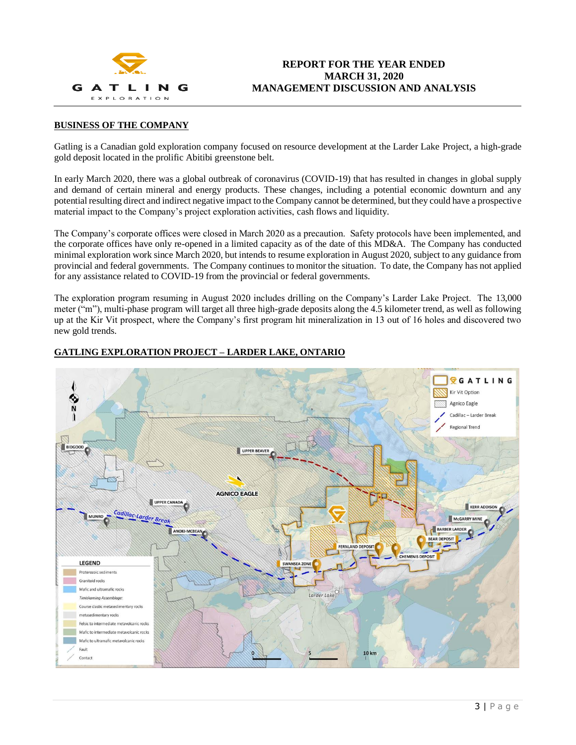

## **BUSINESS OF THE COMPANY**

Gatling is a Canadian gold exploration company focused on resource development at the Larder Lake Project, a high-grade gold deposit located in the prolific Abitibi greenstone belt.

In early March 2020, there was a global outbreak of coronavirus (COVID-19) that has resulted in changes in global supply and demand of certain mineral and energy products. These changes, including a potential economic downturn and any potential resulting direct and indirect negative impact to the Company cannot be determined, but they could have a prospective material impact to the Company's project exploration activities, cash flows and liquidity.

The Company's corporate offices were closed in March 2020 as a precaution. Safety protocols have been implemented, and the corporate offices have only re-opened in a limited capacity as of the date of this MD&A. The Company has conducted minimal exploration work since March 2020, but intends to resume exploration in August 2020, subject to any guidance from provincial and federal governments. The Company continues to monitor the situation. To date, the Company has not applied for any assistance related to COVID-19 from the provincial or federal governments.

The exploration program resuming in August 2020 includes drilling on the Company's Larder Lake Project. The 13,000 meter ("m"), multi-phase program will target all three high-grade deposits along the 4.5 kilometer trend, as well as following up at the Kir Vit prospect, where the Company's first program hit mineralization in 13 out of 16 holes and discovered two new gold trends.



## **GATLING EXPLORATION PROJECT – LARDER LAKE, ONTARIO**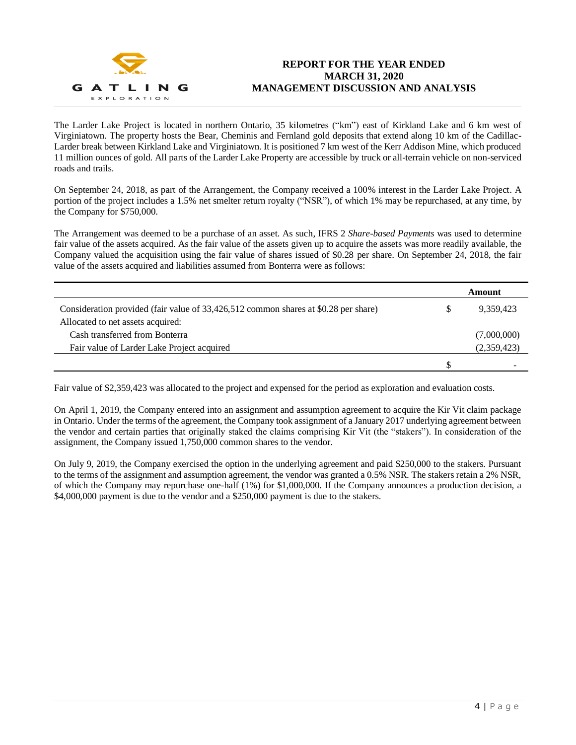

The Larder Lake Project is located in northern Ontario, 35 kilometres ("km") east of Kirkland Lake and 6 km west of Virginiatown. The property hosts the Bear, Cheminis and Fernland gold deposits that extend along 10 km of the Cadillac-Larder break between Kirkland Lake and Virginiatown. It is positioned 7 km west of the Kerr Addison Mine, which produced 11 million ounces of gold. All parts of the Larder Lake Property are accessible by truck or all-terrain vehicle on non-serviced roads and trails.

On September 24, 2018, as part of the Arrangement, the Company received a 100% interest in the Larder Lake Project. A portion of the project includes a 1.5% net smelter return royalty ("NSR"), of which 1% may be repurchased, at any time, by the Company for \$750,000.

The Arrangement was deemed to be a purchase of an asset. As such, IFRS 2 *Share-based Payments* was used to determine fair value of the assets acquired. As the fair value of the assets given up to acquire the assets was more readily available, the Company valued the acquisition using the fair value of shares issued of \$0.28 per share. On September 24, 2018, the fair value of the assets acquired and liabilities assumed from Bonterra were as follows:

|                                                                                     |     | Amount      |
|-------------------------------------------------------------------------------------|-----|-------------|
| Consideration provided (fair value of 33,426,512 common shares at \$0.28 per share) | S   | 9,359,423   |
| Allocated to net assets acquired:                                                   |     |             |
| Cash transferred from Bonterra                                                      |     | (7,000,000) |
| Fair value of Larder Lake Project acquired                                          |     | (2,359,423) |
|                                                                                     | \$. |             |

Fair value of \$2,359,423 was allocated to the project and expensed for the period as exploration and evaluation costs.

On April 1, 2019, the Company entered into an assignment and assumption agreement to acquire the Kir Vit claim package in Ontario. Under the terms of the agreement, the Company took assignment of a January 2017 underlying agreement between the vendor and certain parties that originally staked the claims comprising Kir Vit (the "stakers"). In consideration of the assignment, the Company issued 1,750,000 common shares to the vendor.

On July 9, 2019, the Company exercised the option in the underlying agreement and paid \$250,000 to the stakers. Pursuant to the terms of the assignment and assumption agreement, the vendor was granted a 0.5% NSR. The stakers retain a 2% NSR, of which the Company may repurchase one-half (1%) for \$1,000,000. If the Company announces a production decision, a \$4,000,000 payment is due to the vendor and a \$250,000 payment is due to the stakers.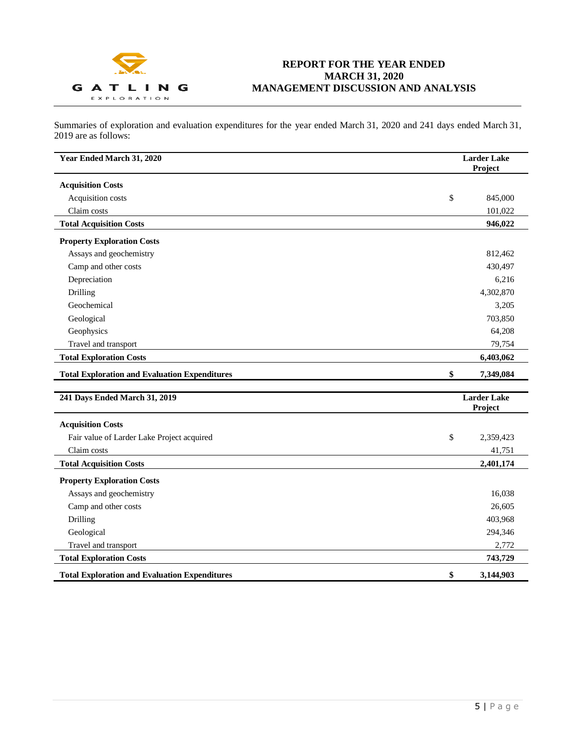

Summaries of exploration and evaluation expenditures for the year ended March 31, 2020 and 241 days ended March 31, 2019 are as follows:

| Year Ended March 31, 2020                            | <b>Larder Lake</b><br>Project |
|------------------------------------------------------|-------------------------------|
| <b>Acquisition Costs</b>                             |                               |
| Acquisition costs                                    | \$<br>845,000                 |
| Claim costs                                          | 101,022                       |
| <b>Total Acquisition Costs</b>                       | 946,022                       |
| <b>Property Exploration Costs</b>                    |                               |
| Assays and geochemistry                              | 812,462                       |
| Camp and other costs                                 | 430,497                       |
| Depreciation                                         | 6,216                         |
| Drilling                                             | 4,302,870                     |
| Geochemical                                          | 3,205                         |
| Geological                                           | 703,850                       |
| Geophysics                                           | 64,208                        |
| Travel and transport                                 | 79,754                        |
| <b>Total Exploration Costs</b>                       | 6,403,062                     |
| <b>Total Exploration and Evaluation Expenditures</b> | \$<br>7,349,084               |
| 241 Days Ended March 31, 2019                        | <b>Larder Lake</b><br>Project |
| <b>Acquisition Costs</b>                             |                               |
| Fair value of Larder Lake Project acquired           | \$<br>2,359,423               |
| Claim costs                                          | 41,751                        |
| <b>Total Acquisition Costs</b>                       | 2,401,174                     |
| <b>Property Exploration Costs</b>                    |                               |
| Assays and geochemistry                              | 16,038                        |
| Camp and other costs                                 | 26,605                        |
| Drilling                                             | 403,968                       |
| Geological                                           | 294,346                       |
| Travel and transport                                 | 2,772                         |
| <b>Total Exploration Costs</b>                       | 743,729                       |
| <b>Total Exploration and Evaluation Expenditures</b> | \$<br>3,144,903               |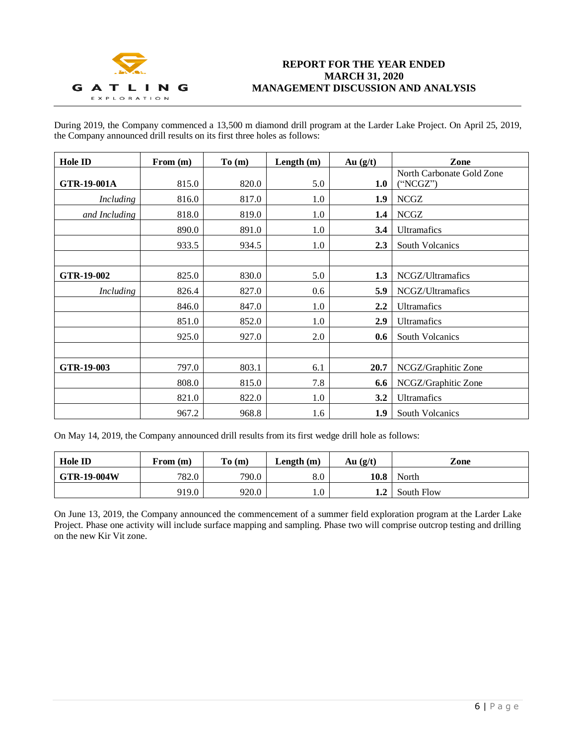

During 2019, the Company commenced a 13,500 m diamond drill program at the Larder Lake Project. On April 25, 2019, the Company announced drill results on its first three holes as follows:

| Hole ID          | From $(m)$ | To(m) | Length $(m)$ | Au $(g/t)$ | Zone                                 |
|------------------|------------|-------|--------------|------------|--------------------------------------|
| GTR-19-001A      | 815.0      | 820.0 | 5.0          | 1.0        | North Carbonate Gold Zone<br>"NCGZ") |
| <i>Including</i> | 816.0      | 817.0 | 1.0          | 1.9        | <b>NCGZ</b>                          |
| and Including    | 818.0      | 819.0 | 1.0          | $1.4\,$    | <b>NCGZ</b>                          |
|                  | 890.0      | 891.0 | 1.0          | 3.4        | <b>Ultramafics</b>                   |
|                  | 933.5      | 934.5 | 1.0          | 2.3        | <b>South Volcanics</b>               |
|                  |            |       |              |            |                                      |
| GTR-19-002       | 825.0      | 830.0 | 5.0          | 1.3        | NCGZ/Ultramafics                     |
| <b>Including</b> | 826.4      | 827.0 | 0.6          | 5.9        | NCGZ/Ultramafics                     |
|                  | 846.0      | 847.0 | 1.0          | 2.2        | <b>Ultramafics</b>                   |
|                  | 851.0      | 852.0 | 1.0          | 2.9        | <b>Ultramafics</b>                   |
|                  | 925.0      | 927.0 | 2.0          | 0.6        | South Volcanics                      |
|                  |            |       |              |            |                                      |
| GTR-19-003       | 797.0      | 803.1 | 6.1          | 20.7       | NCGZ/Graphitic Zone                  |
|                  | 808.0      | 815.0 | 7.8          | 6.6        | NCGZ/Graphitic Zone                  |
|                  | 821.0      | 822.0 | 1.0          | 3.2        | <b>Ultramafics</b>                   |
|                  | 967.2      | 968.8 | 1.6          | 1.9        | <b>South Volcanics</b>               |

On May 14, 2019, the Company announced drill results from its first wedge drill hole as follows:

| <b>Hole ID</b>     | From (m) | To(m) | Length $(m)$ | Au $(g/t)$ | Zone       |
|--------------------|----------|-------|--------------|------------|------------|
| <b>GTR-19-004W</b> | 782.0    | 790.0 | $8.0\,$      | 10.8       | North      |
|                    | 919.0    | 920.0 | 0.1          | 1.2        | South Flow |

On June 13, 2019, the Company announced the commencement of a summer field exploration program at the Larder Lake Project. Phase one activity will include surface mapping and sampling. Phase two will comprise outcrop testing and drilling on the new Kir Vit zone.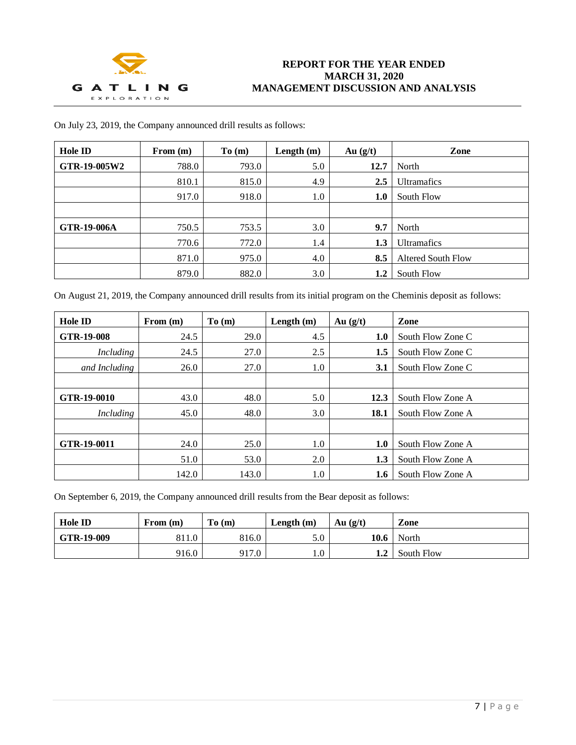

| On July 23, 2019, the Company announced drill results as follows: |  |
|-------------------------------------------------------------------|--|
|-------------------------------------------------------------------|--|

| <b>Hole ID</b>     | From $(m)$ | To(m) | Length $(m)$ | Au $(g/t)$ | Zone                      |
|--------------------|------------|-------|--------------|------------|---------------------------|
| GTR-19-005W2       | 788.0      | 793.0 | 5.0          | 12.7       | North                     |
|                    | 810.1      | 815.0 | 4.9          | 2.5        | <b>Ultramafics</b>        |
|                    | 917.0      | 918.0 | 1.0          | 1.0        | South Flow                |
|                    |            |       |              |            |                           |
| <b>GTR-19-006A</b> | 750.5      | 753.5 | 3.0          | 9.7        | North                     |
|                    | 770.6      | 772.0 | 1.4          | 1.3        | <b>Ultramafics</b>        |
|                    | 871.0      | 975.0 | 4.0          | 8.5        | <b>Altered South Flow</b> |
|                    | 879.0      | 882.0 | 3.0          | 1.2        | South Flow                |

On August 21, 2019, the Company announced drill results from its initial program on the Cheminis deposit as follows:

| Hole ID       | From $(m)$ | To(m) | Length $(m)$ | Au $(g/t)$ | Zone              |
|---------------|------------|-------|--------------|------------|-------------------|
| GTR-19-008    | 24.5       | 29.0  | 4.5          | 1.0        | South Flow Zone C |
| Including     | 24.5       | 27.0  | 2.5          | 1.5        | South Flow Zone C |
| and Including | 26.0       | 27.0  | 1.0          | 3.1        | South Flow Zone C |
|               |            |       |              |            |                   |
| GTR-19-0010   | 43.0       | 48.0  | 5.0          | 12.3       | South Flow Zone A |
| Including     | 45.0       | 48.0  | 3.0          | 18.1       | South Flow Zone A |
|               |            |       |              |            |                   |
| GTR-19-0011   | 24.0       | 25.0  | 1.0          | 1.0        | South Flow Zone A |
|               | 51.0       | 53.0  | 2.0          | 1.3        | South Flow Zone A |
|               | 142.0      | 143.0 | 1.0          | 1.6        | South Flow Zone A |

On September 6, 2019, the Company announced drill results from the Bear deposit as follows:

| <b>Hole ID</b> | From $(m)$ | To(m) | Length $(m)$ | Au $(g/t)$ | Zone       |
|----------------|------------|-------|--------------|------------|------------|
| GTR-19-009     | 811.0      | 816.0 | 5.0          | 10.6       | North      |
|                | 916.0      | 917.0 | $1.0\,$      | 1.2        | South Flow |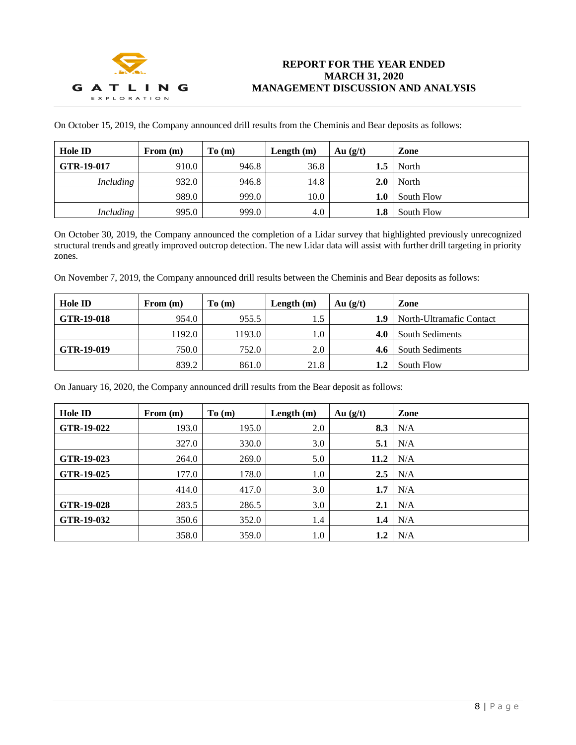

On October 15, 2019, the Company announced drill results from the Cheminis and Bear deposits as follows:

| <b>Hole ID</b> | From $(m)$ | To(m) | Length $(m)$ | Au $(g/t)$ | Zone       |
|----------------|------------|-------|--------------|------------|------------|
| GTR-19-017     | 910.0      | 946.8 | 36.8         | 1.5        | North      |
| Including      | 932.0      | 946.8 | 14.8         | 2.0        | North      |
|                | 989.0      | 999.0 | 10.0         | 1.0        | South Flow |
| Including      | 995.0      | 999.0 | 4.0          | 1.8        | South Flow |

On October 30, 2019, the Company announced the completion of a Lidar survey that highlighted previously unrecognized structural trends and greatly improved outcrop detection. The new Lidar data will assist with further drill targeting in priority zones.

On November 7, 2019, the Company announced drill results between the Cheminis and Bear deposits as follows:

| <b>Hole ID</b> | From (m) | To(m)  | Length $(m)$ | Au(g/t) | Zone                     |
|----------------|----------|--------|--------------|---------|--------------------------|
| GTR-19-018     | 954.0    | 955.5  | 1.5          | 1.9     | North-Ultramafic Contact |
|                | 1192.0   | 1193.0 | 1.0          | 4.0     | South Sediments          |
| GTR-19-019     | 750.0    | 752.0  | 2.0          |         | <b>South Sediments</b>   |
|                | 839.2    | 861.0  | 21.8         | 1.2     | South Flow               |

On January 16, 2020, the Company announced drill results from the Bear deposit as follows:

| Hole ID    | From $(m)$ | To(m) | Length $(m)$ | Au $(g/t)$ | Zone |
|------------|------------|-------|--------------|------------|------|
| GTR-19-022 | 193.0      | 195.0 | 2.0          | 8.3        | N/A  |
|            | 327.0      | 330.0 | 3.0          | 5.1        | N/A  |
| GTR-19-023 | 264.0      | 269.0 | 5.0          | 11.2       | N/A  |
| GTR-19-025 | 177.0      | 178.0 | $1.0\,$      | 2.5        | N/A  |
|            | 414.0      | 417.0 | 3.0          | 1.7        | N/A  |
| GTR-19-028 | 283.5      | 286.5 | 3.0          | 2.1        | N/A  |
| GTR-19-032 | 350.6      | 352.0 | 1.4          | 1.4        | N/A  |
|            | 358.0      | 359.0 | 1.0          | 1.2        | N/A  |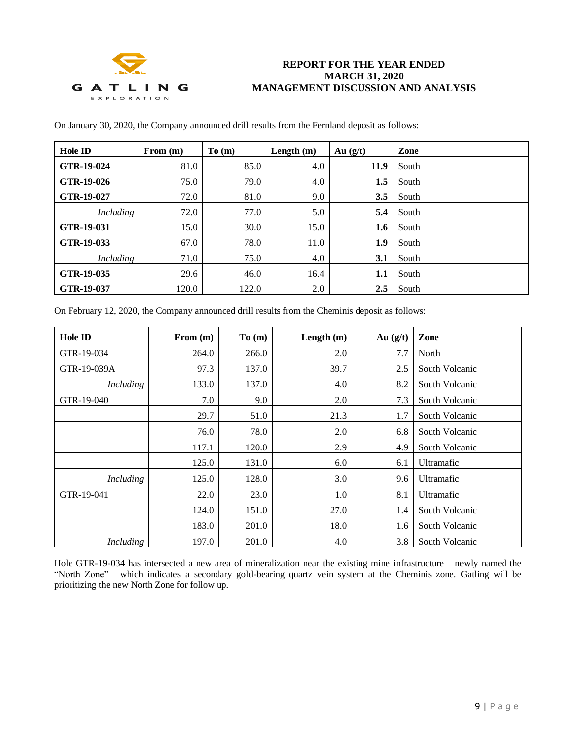

| Hole ID    | From $(m)$ | To(m) | Length $(m)$ | Au $(g/t)$ | Zone  |
|------------|------------|-------|--------------|------------|-------|
| GTR-19-024 | 81.0       | 85.0  | 4.0          | 11.9       | South |
| GTR-19-026 | 75.0       | 79.0  | 4.0          | 1.5        | South |
| GTR-19-027 | 72.0       | 81.0  | 9.0          | 3.5        | South |
| Including  | 72.0       | 77.0  | 5.0          | 5.4        | South |
| GTR-19-031 | 15.0       | 30.0  | 15.0         | 1.6        | South |
| GTR-19-033 | 67.0       | 78.0  | 11.0         | 1.9        | South |
| Including  | 71.0       | 75.0  | 4.0          | 3.1        | South |
| GTR-19-035 | 29.6       | 46.0  | 16.4         | 1.1        | South |
| GTR-19-037 | 120.0      | 122.0 | 2.0          | 2.5        | South |

On January 30, 2020, the Company announced drill results from the Fernland deposit as follows:

On February 12, 2020, the Company announced drill results from the Cheminis deposit as follows:

| <b>Hole ID</b>   | From $(m)$ | To(m) | Length $(m)$ | Au $(g/t)$ | Zone           |
|------------------|------------|-------|--------------|------------|----------------|
| GTR-19-034       | 264.0      | 266.0 | 2.0          | 7.7        | North          |
| GTR-19-039A      | 97.3       | 137.0 | 39.7         | 2.5        | South Volcanic |
| <i>Including</i> | 133.0      | 137.0 | 4.0          | 8.2        | South Volcanic |
| GTR-19-040       | 7.0        | 9.0   | 2.0          | 7.3        | South Volcanic |
|                  | 29.7       | 51.0  | 21.3         | 1.7        | South Volcanic |
|                  | 76.0       | 78.0  | 2.0          | 6.8        | South Volcanic |
|                  | 117.1      | 120.0 | 2.9          | 4.9        | South Volcanic |
|                  | 125.0      | 131.0 | 6.0          | 6.1        | Ultramafic     |
| <i>Including</i> | 125.0      | 128.0 | 3.0          | 9.6        | Ultramafic     |
| GTR-19-041       | 22.0       | 23.0  | 1.0          | 8.1        | Ultramafic     |
|                  | 124.0      | 151.0 | 27.0         | 1.4        | South Volcanic |
|                  | 183.0      | 201.0 | 18.0         | 1.6        | South Volcanic |
| Including        | 197.0      | 201.0 | 4.0          | 3.8        | South Volcanic |

Hole GTR-19-034 has intersected a new area of mineralization near the existing mine infrastructure – newly named the "North Zone" – which indicates a secondary gold-bearing quartz vein system at the Cheminis zone. Gatling will be prioritizing the new North Zone for follow up.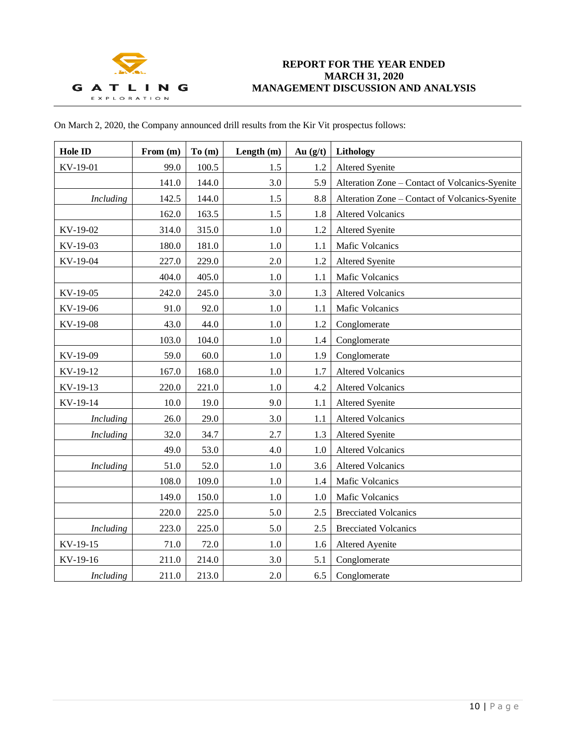

| On March 2, 2020, the Company announced drill results from the Kir Vit prospectus follows: |  |  |  |  |  |
|--------------------------------------------------------------------------------------------|--|--|--|--|--|
|--------------------------------------------------------------------------------------------|--|--|--|--|--|

| Hole ID          | From (m) | To $(m)$ | Length $(m)$ | Au $(g/t)$ | Lithology                                      |
|------------------|----------|----------|--------------|------------|------------------------------------------------|
| KV-19-01         | 99.0     | 100.5    | 1.5          | 1.2        | <b>Altered Syenite</b>                         |
|                  | 141.0    | 144.0    | 3.0          | 5.9        | Alteration Zone - Contact of Volcanics-Syenite |
| <b>Including</b> | 142.5    | 144.0    | 1.5          | 8.8        | Alteration Zone - Contact of Volcanics-Syenite |
|                  | 162.0    | 163.5    | 1.5          | 1.8        | <b>Altered Volcanics</b>                       |
| KV-19-02         | 314.0    | 315.0    | 1.0          | 1.2        | <b>Altered Syenite</b>                         |
| KV-19-03         | 180.0    | 181.0    | 1.0          | 1.1        | Mafic Volcanics                                |
| KV-19-04         | 227.0    | 229.0    | 2.0          | 1.2        | <b>Altered Syenite</b>                         |
|                  | 404.0    | 405.0    | 1.0          | 1.1        | <b>Mafic Volcanics</b>                         |
| KV-19-05         | 242.0    | 245.0    | 3.0          | 1.3        | <b>Altered Volcanics</b>                       |
| KV-19-06         | 91.0     | 92.0     | 1.0          | 1.1        | <b>Mafic Volcanics</b>                         |
| KV-19-08         | 43.0     | 44.0     | 1.0          | 1.2        | Conglomerate                                   |
|                  | 103.0    | 104.0    | 1.0          | 1.4        | Conglomerate                                   |
| KV-19-09         | 59.0     | 60.0     | 1.0          | 1.9        | Conglomerate                                   |
| KV-19-12         | 167.0    | 168.0    | 1.0          | 1.7        | <b>Altered Volcanics</b>                       |
| KV-19-13         | 220.0    | 221.0    | $1.0\,$      | 4.2        | <b>Altered Volcanics</b>                       |
| KV-19-14         | 10.0     | 19.0     | 9.0          | 1.1        | Altered Syenite                                |
| <b>Including</b> | 26.0     | 29.0     | 3.0          | 1.1        | <b>Altered Volcanics</b>                       |
| <b>Including</b> | 32.0     | 34.7     | 2.7          | 1.3        | <b>Altered Syenite</b>                         |
|                  | 49.0     | 53.0     | 4.0          | 1.0        | <b>Altered Volcanics</b>                       |
| <b>Including</b> | 51.0     | 52.0     | 1.0          | 3.6        | <b>Altered Volcanics</b>                       |
|                  | 108.0    | 109.0    | 1.0          | 1.4        | <b>Mafic Volcanics</b>                         |
|                  | 149.0    | 150.0    | 1.0          | 1.0        | Mafic Volcanics                                |
|                  | 220.0    | 225.0    | 5.0          | 2.5        | <b>Brecciated Volcanics</b>                    |
| <b>Including</b> | 223.0    | 225.0    | 5.0          | 2.5        | <b>Brecciated Volcanics</b>                    |
| KV-19-15         | 71.0     | 72.0     | 1.0          | 1.6        | Altered Ayenite                                |
| KV-19-16         | 211.0    | 214.0    | 3.0          | 5.1        | Conglomerate                                   |
| Including        | 211.0    | 213.0    | 2.0          | 6.5        | Conglomerate                                   |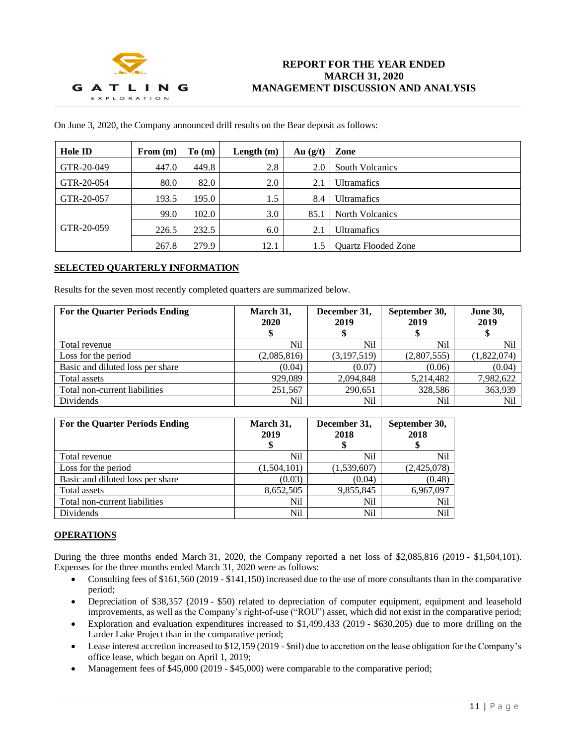

|  | On June 3, 2020, the Company announced drill results on the Bear deposit as follows: |  |
|--|--------------------------------------------------------------------------------------|--|
|  |                                                                                      |  |

| <b>Hole ID</b> | From $(m)$ | To(m) | Length $(m)$ | Au(g/t) | Zone                       |
|----------------|------------|-------|--------------|---------|----------------------------|
| GTR-20-049     | 447.0      | 449.8 | 2.8          | 2.0     | <b>South Volcanics</b>     |
| GTR-20-054     | 80.0       | 82.0  | 2.0          | 2.1     | <b>Ultramafics</b>         |
| GTR-20-057     | 193.5      | 195.0 | 1.5          | 8.4     | <b>Ultramafics</b>         |
|                | 99.0       | 102.0 | 3.0          | 85.1    | <b>North Volcanics</b>     |
| GTR-20-059     | 226.5      | 232.5 | 6.0          | 2.1     | <b>Ultramafics</b>         |
|                | 267.8      | 279.9 | 12.1         | 1.5     | <b>Ouartz Flooded Zone</b> |

## **SELECTED QUARTERLY INFORMATION**

Results for the seven most recently completed quarters are summarized below.

| <b>For the Quarter Periods Ending</b> | March 31,<br>2020 | December 31,<br>2019 | September 30,<br>2019 | <b>June 30,</b><br>2019 |
|---------------------------------------|-------------------|----------------------|-----------------------|-------------------------|
| Total revenue                         | Nil               | Nil                  | Nil                   | Nil                     |
| Loss for the period                   | (2,085,816)       | (3,197,519)          | (2,807,555)           | (1,822,074)             |
| Basic and diluted loss per share      | (0.04)            | (0.07)               | (0.06)                | (0.04)                  |
| Total assets                          | 929,089           | 2,094,848            | 5,214,482             | 7,982,622               |
| Total non-current liabilities         | 251,567           | 290,651              | 328,586               | 363,939                 |
| Dividends                             | Nil               | Nil                  | Nil                   | Nil                     |

| <b>For the Quarter Periods Ending</b> | March 31,<br>2019 | December 31,<br>2018 | September 30,<br>2018 |
|---------------------------------------|-------------------|----------------------|-----------------------|
| Total revenue                         | Nil               | Nil                  | Nil                   |
| Loss for the period                   | (1,504,101)       | (1,539,607)          | (2,425,078)           |
| Basic and diluted loss per share      | (0.03)            | (0.04)               | (0.48)                |
| Total assets                          | 8.652.505         | 9,855,845            | 6,967,097             |
| Total non-current liabilities         | Nil               | Nil                  | Nil                   |
| Dividends                             | Nil               | Nil                  | Nil                   |

## **OPERATIONS**

During the three months ended March 31, 2020, the Company reported a net loss of \$2,085,816 (2019 - \$1,504,101). Expenses for the three months ended March 31, 2020 were as follows:

- Consulting fees of \$161,560 (2019 \$141,150) increased due to the use of more consultants than in the comparative period;
- Depreciation of \$38,357 (2019 \$50) related to depreciation of computer equipment, equipment and leasehold improvements, as well as the Company's right-of-use ("ROU") asset, which did not exist in the comparative period;
- Exploration and evaluation expenditures increased to \$1,499,433 (2019 \$630,205) due to more drilling on the Larder Lake Project than in the comparative period;
- Lease interest accretion increased to \$12,159 (2019 \$nil) due to accretion on the lease obligation for the Company's office lease, which began on April 1, 2019;
- Management fees of \$45,000 (2019 \$45,000) were comparable to the comparative period;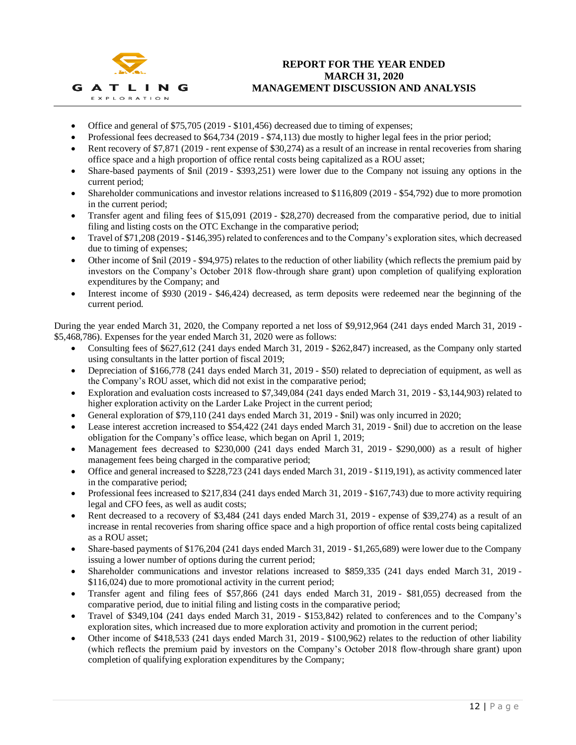

- Office and general of \$75,705 (2019 \$101,456) decreased due to timing of expenses;
- Professional fees decreased to \$64,734 (2019 \$74,113) due mostly to higher legal fees in the prior period;
- Rent recovery of \$7,871 (2019 rent expense of \$30,274) as a result of an increase in rental recoveries from sharing office space and a high proportion of office rental costs being capitalized as a ROU asset;
- Share-based payments of \$nil (2019 \$393,251) were lower due to the Company not issuing any options in the current period;
- Shareholder communications and investor relations increased to \$116,809 (2019 \$54,792) due to more promotion in the current period;
- Transfer agent and filing fees of \$15,091 (2019 \$28,270) decreased from the comparative period, due to initial filing and listing costs on the OTC Exchange in the comparative period;
- Travel of \$71,208 (2019 \$146,395) related to conferences and to the Company's exploration sites, which decreased due to timing of expenses;
- Other income of  $\sinh(2019 \frac{994,975}{2})$  relates to the reduction of other liability (which reflects the premium paid by investors on the Company's October 2018 flow-through share grant) upon completion of qualifying exploration expenditures by the Company; and
- Interest income of \$930 (2019 \$46,424) decreased, as term deposits were redeemed near the beginning of the current period.

During the year ended March 31, 2020, the Company reported a net loss of \$9,912,964 (241 days ended March 31, 2019 - \$5,468,786). Expenses for the year ended March 31, 2020 were as follows:

- Consulting fees of \$627,612 (241 days ended March 31, 2019 \$262,847) increased, as the Company only started using consultants in the latter portion of fiscal 2019;
- Depreciation of \$166,778 (241 days ended March 31, 2019 \$50) related to depreciation of equipment, as well as the Company's ROU asset, which did not exist in the comparative period;
- Exploration and evaluation costs increased to \$7,349,084 (241 days ended March 31, 2019 \$3,144,903) related to higher exploration activity on the Larder Lake Project in the current period;
- General exploration of \$79,110 (241 days ended March 31, 2019 \$nil) was only incurred in 2020;
- Lease interest accretion increased to \$54,422 (241 days ended March 31, 2019 \$nil) due to accretion on the lease obligation for the Company's office lease, which began on April 1, 2019;
- Management fees decreased to \$230,000 (241 days ended March 31, 2019 \$290,000) as a result of higher management fees being charged in the comparative period;
- Office and general increased to \$228,723 (241 days ended March 31, 2019 \$119,191), as activity commenced later in the comparative period;
- Professional fees increased to \$217,834 (241 days ended March 31, 2019 \$167,743) due to more activity requiring legal and CFO fees, as well as audit costs;
- Rent decreased to a recovery of \$3,484 (241 days ended March 31, 2019 expense of \$39,274) as a result of an increase in rental recoveries from sharing office space and a high proportion of office rental costs being capitalized as a ROU asset;
- Share-based payments of \$176,204 (241 days ended March 31, 2019 \$1,265,689) were lower due to the Company issuing a lower number of options during the current period;
- Shareholder communications and investor relations increased to \$859,335 (241 days ended March 31, 2019 \$116,024) due to more promotional activity in the current period;
- Transfer agent and filing fees of \$57,866 (241 days ended March 31, 2019 \$81,055) decreased from the comparative period, due to initial filing and listing costs in the comparative period;
- Travel of \$349,104 (241 days ended March 31, 2019 \$153,842) related to conferences and to the Company's exploration sites, which increased due to more exploration activity and promotion in the current period;
- Other income of \$418,533 (241 days ended March 31, 2019 \$100,962) relates to the reduction of other liability (which reflects the premium paid by investors on the Company's October 2018 flow-through share grant) upon completion of qualifying exploration expenditures by the Company;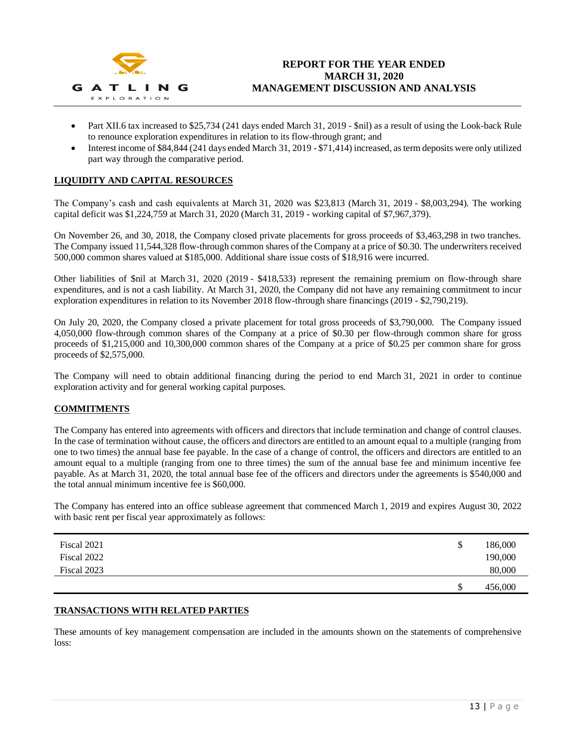

- Part XII.6 tax increased to \$25,734 (241 days ended March 31, 2019 \$nil) as a result of using the Look-back Rule to renounce exploration expenditures in relation to its flow-through grant; and
- Interest income of \$84,844 (241 days ended March 31, 2019 \$71,414) increased, as term deposits were only utilized part way through the comparative period.

## **LIQUIDITY AND CAPITAL RESOURCES**

The Company's cash and cash equivalents at March 31, 2020 was \$23,813 (March 31, 2019 - \$8,003,294). The working capital deficit was \$1,224,759 at March 31, 2020 (March 31, 2019 - working capital of \$7,967,379).

On November 26, and 30, 2018, the Company closed private placements for gross proceeds of \$3,463,298 in two tranches. The Company issued 11,544,328 flow-through common shares of the Company at a price of \$0.30. The underwriters received 500,000 common shares valued at \$185,000. Additional share issue costs of \$18,916 were incurred.

Other liabilities of \$nil at March 31, 2020 (2019 - \$418,533) represent the remaining premium on flow-through share expenditures, and is not a cash liability. At March 31, 2020, the Company did not have any remaining commitment to incur exploration expenditures in relation to its November 2018 flow-through share financings (2019 - \$2,790,219).

On July 20, 2020, the Company closed a private placement for total gross proceeds of \$3,790,000. The Company issued 4,050,000 flow-through common shares of the Company at a price of \$0.30 per flow-through common share for gross proceeds of \$1,215,000 and 10,300,000 common shares of the Company at a price of \$0.25 per common share for gross proceeds of \$2,575,000.

The Company will need to obtain additional financing during the period to end March 31, 2021 in order to continue exploration activity and for general working capital purposes.

## **COMMITMENTS**

The Company has entered into agreements with officers and directors that include termination and change of control clauses. In the case of termination without cause, the officers and directors are entitled to an amount equal to a multiple (ranging from one to two times) the annual base fee payable. In the case of a change of control, the officers and directors are entitled to an amount equal to a multiple (ranging from one to three times) the sum of the annual base fee and minimum incentive fee payable. As at March 31, 2020, the total annual base fee of the officers and directors under the agreements is \$540,000 and the total annual minimum incentive fee is \$60,000.

The Company has entered into an office sublease agreement that commenced March 1, 2019 and expires August 30, 2022 with basic rent per fiscal year approximately as follows:

| Fiscal 2021 | \$<br>186,000 |
|-------------|---------------|
| Fiscal 2022 | 190,000       |
| Fiscal 2023 | 80,000        |
|             | \$<br>456,000 |

## **TRANSACTIONS WITH RELATED PARTIES**

These amounts of key management compensation are included in the amounts shown on the statements of comprehensive loss: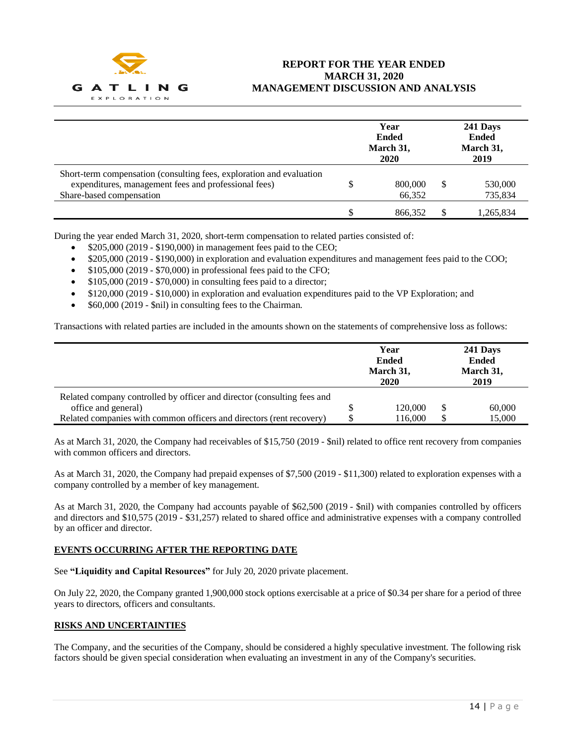

|                                                                                                                                                          | Year<br><b>Ended</b><br>March 31,<br><b>2020</b> |   | 241 Days<br><b>Ended</b><br>March 31,<br>2019 |
|----------------------------------------------------------------------------------------------------------------------------------------------------------|--------------------------------------------------|---|-----------------------------------------------|
| Short-term compensation (consulting fees, exploration and evaluation<br>expenditures, management fees and professional fees)<br>Share-based compensation | 800,000<br>66,352                                | S | 530,000<br>735,834                            |
|                                                                                                                                                          | 866.352                                          |   | 1,265,834                                     |

During the year ended March 31, 2020, short-term compensation to related parties consisted of:

- \$205,000 (2019 \$190,000) in management fees paid to the CEO;
- \$205,000 (2019 \$190,000) in exploration and evaluation expenditures and management fees paid to the COO;
- \$105,000 (2019 \$70,000) in professional fees paid to the CFO;
- $$105,000 (2019 $70,000)$  in consulting fees paid to a director;
- \$120,000 (2019 \$10,000) in exploration and evaluation expenditures paid to the VP Exploration; and
- \$60,000 (2019 \$nil) in consulting fees to the Chairman.

Transactions with related parties are included in the amounts shown on the statements of comprehensive loss as follows:

|                                                                         | Year<br><b>Ended</b><br>March 31,<br>2020 | 241 Days<br><b>Ended</b><br>March 31,<br>2019 |
|-------------------------------------------------------------------------|-------------------------------------------|-----------------------------------------------|
| Related company controlled by officer and director (consulting fees and |                                           |                                               |
| office and general)                                                     | 120,000                                   | 60,000                                        |
| Related companies with common officers and directors (rent recovery)    | 116,000                                   | 15,000                                        |

As at March 31, 2020, the Company had receivables of \$15,750 (2019 - \$nil) related to office rent recovery from companies with common officers and directors.

As at March 31, 2020, the Company had prepaid expenses of \$7,500 (2019 - \$11,300) related to exploration expenses with a company controlled by a member of key management.

As at March 31, 2020, the Company had accounts payable of \$62,500 (2019 - \$nil) with companies controlled by officers and directors and \$10,575 (2019 - \$31,257) related to shared office and administrative expenses with a company controlled by an officer and director.

## **EVENTS OCCURRING AFTER THE REPORTING DATE**

See **"Liquidity and Capital Resources"** for July 20, 2020 private placement.

On July 22, 2020, the Company granted 1,900,000 stock options exercisable at a price of \$0.34 per share for a period of three years to directors, officers and consultants.

## **RISKS AND UNCERTAINTIES**

The Company, and the securities of the Company, should be considered a highly speculative investment. The following risk factors should be given special consideration when evaluating an investment in any of the Company's securities.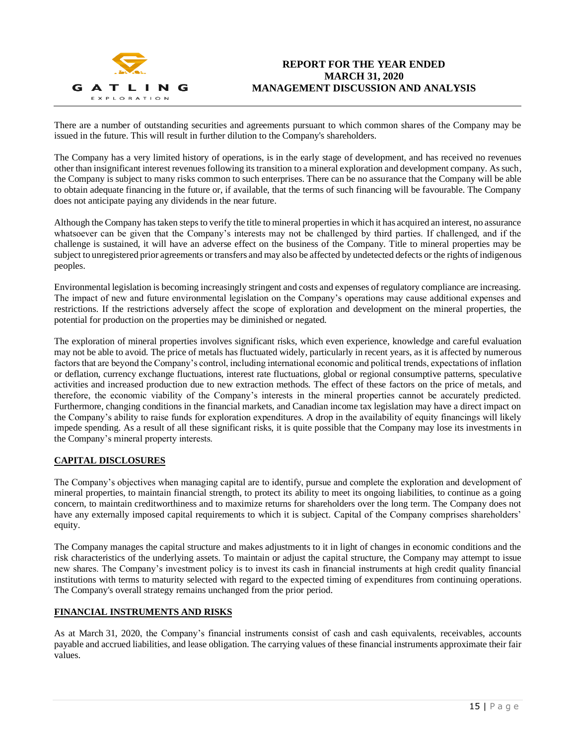

There are a number of outstanding securities and agreements pursuant to which common shares of the Company may be issued in the future. This will result in further dilution to the Company's shareholders.

The Company has a very limited history of operations, is in the early stage of development, and has received no revenues other than insignificant interest revenues following its transition to a mineral exploration and development company. As such, the Company is subject to many risks common to such enterprises. There can be no assurance that the Company will be able to obtain adequate financing in the future or, if available, that the terms of such financing will be favourable. The Company does not anticipate paying any dividends in the near future.

Although the Company has taken steps to verify the title to mineral properties in which it has acquired an interest, no assurance whatsoever can be given that the Company's interests may not be challenged by third parties. If challenged, and if the challenge is sustained, it will have an adverse effect on the business of the Company. Title to mineral properties may be subject to unregistered prior agreements or transfers and may also be affected by undetected defects or the rights of indigenous peoples.

Environmental legislation is becoming increasingly stringent and costs and expenses of regulatory compliance are increasing. The impact of new and future environmental legislation on the Company's operations may cause additional expenses and restrictions. If the restrictions adversely affect the scope of exploration and development on the mineral properties, the potential for production on the properties may be diminished or negated.

The exploration of mineral properties involves significant risks, which even experience, knowledge and careful evaluation may not be able to avoid. The price of metals has fluctuated widely, particularly in recent years, as it is affected by numerous factors that are beyond the Company's control, including international economic and political trends, expectations of inflation or deflation, currency exchange fluctuations, interest rate fluctuations, global or regional consumptive patterns, speculative activities and increased production due to new extraction methods. The effect of these factors on the price of metals, and therefore, the economic viability of the Company's interests in the mineral properties cannot be accurately predicted. Furthermore, changing conditions in the financial markets, and Canadian income tax legislation may have a direct impact on the Company's ability to raise funds for exploration expenditures. A drop in the availability of equity financings will likely impede spending. As a result of all these significant risks, it is quite possible that the Company may lose its investments in the Company's mineral property interests.

## **CAPITAL DISCLOSURES**

The Company's objectives when managing capital are to identify, pursue and complete the exploration and development of mineral properties, to maintain financial strength, to protect its ability to meet its ongoing liabilities, to continue as a going concern, to maintain creditworthiness and to maximize returns for shareholders over the long term. The Company does not have any externally imposed capital requirements to which it is subject. Capital of the Company comprises shareholders' equity.

The Company manages the capital structure and makes adjustments to it in light of changes in economic conditions and the risk characteristics of the underlying assets. To maintain or adjust the capital structure, the Company may attempt to issue new shares. The Company's investment policy is to invest its cash in financial instruments at high credit quality financial institutions with terms to maturity selected with regard to the expected timing of expenditures from continuing operations. The Company's overall strategy remains unchanged from the prior period.

## **FINANCIAL INSTRUMENTS AND RISKS**

As at March 31, 2020, the Company's financial instruments consist of cash and cash equivalents, receivables, accounts payable and accrued liabilities, and lease obligation. The carrying values of these financial instruments approximate their fair values.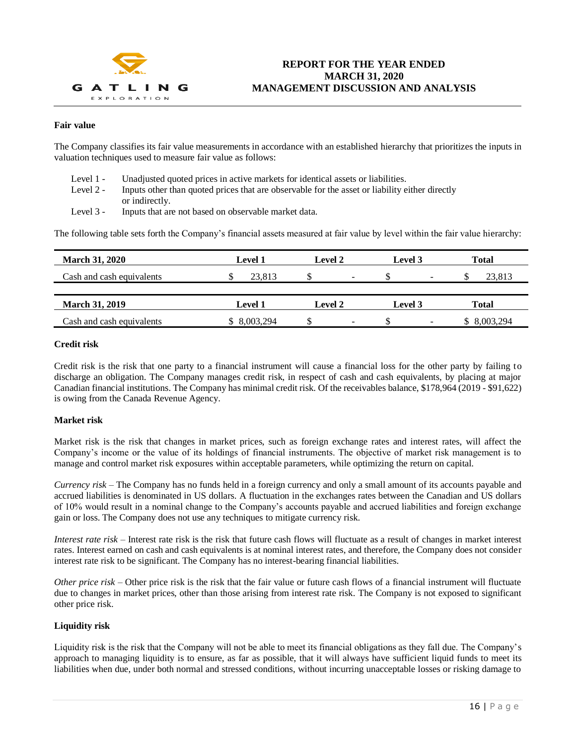

## **Fair value**

The Company classifies its fair value measurements in accordance with an established hierarchy that prioritizes the inputs in valuation techniques used to measure fair value as follows:

- Level 1 Unadjusted quoted prices in active markets for identical assets or liabilities.
- Level 2 Inputs other than quoted prices that are observable for the asset or liability either directly or indirectly.
- Level 3 Inputs that are not based on observable market data.

The following table sets forth the Company's financial assets measured at fair value by level within the fair value hierarchy:

| <b>March 31, 2020</b>     | <b>Level 1</b> | Level 2                        | Level 3                        | <b>Total</b> |
|---------------------------|----------------|--------------------------------|--------------------------------|--------------|
| Cash and cash equivalents | 23.813         | $\overline{\phantom{a}}$       | $\overline{\phantom{a}}$       | 23.813       |
|                           |                |                                |                                |              |
| <b>March 31, 2019</b>     | <b>Level 1</b> | Level 2                        | Level 3                        | <b>Total</b> |
| Cash and cash equivalents | \$ 8,003,294   | \$<br>$\overline{\phantom{0}}$ | $\overline{\phantom{0}}$<br>۰Π | \$ 8,003,294 |

#### **Credit risk**

Credit risk is the risk that one party to a financial instrument will cause a financial loss for the other party by failing to discharge an obligation. The Company manages credit risk, in respect of cash and cash equivalents, by placing at major Canadian financial institutions. The Company has minimal credit risk. Of the receivables balance, \$178,964 (2019 - \$91,622) is owing from the Canada Revenue Agency.

### **Market risk**

Market risk is the risk that changes in market prices, such as foreign exchange rates and interest rates, will affect the Company's income or the value of its holdings of financial instruments. The objective of market risk management is to manage and control market risk exposures within acceptable parameters, while optimizing the return on capital.

*Currency risk* – The Company has no funds held in a foreign currency and only a small amount of its accounts payable and accrued liabilities is denominated in US dollars. A fluctuation in the exchanges rates between the Canadian and US dollars of 10% would result in a nominal change to the Company's accounts payable and accrued liabilities and foreign exchange gain or loss. The Company does not use any techniques to mitigate currency risk.

*Interest rate risk* – Interest rate risk is the risk that future cash flows will fluctuate as a result of changes in market interest rates. Interest earned on cash and cash equivalents is at nominal interest rates, and therefore, the Company does not consider interest rate risk to be significant. The Company has no interest-bearing financial liabilities.

*Other price risk* – Other price risk is the risk that the fair value or future cash flows of a financial instrument will fluctuate due to changes in market prices, other than those arising from interest rate risk. The Company is not exposed to significant other price risk.

## **Liquidity risk**

Liquidity risk is the risk that the Company will not be able to meet its financial obligations as they fall due. The Company's approach to managing liquidity is to ensure, as far as possible, that it will always have sufficient liquid funds to meet its liabilities when due, under both normal and stressed conditions, without incurring unacceptable losses or risking damage to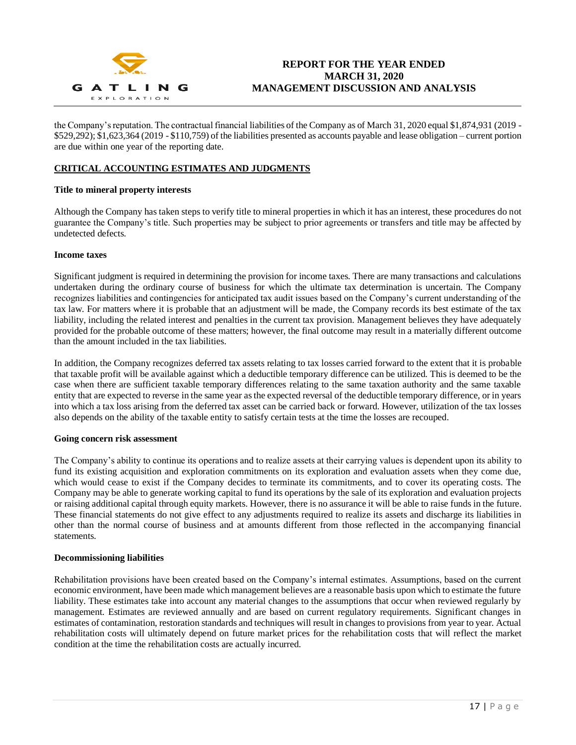

the Company's reputation. The contractual financial liabilities of the Company as of March 31, 2020 equal \$1,874,931 (2019 - \$529,292); \$1,623,364 (2019 - \$110,759) of the liabilities presented as accounts payable and lease obligation – current portion are due within one year of the reporting date.

## **CRITICAL ACCOUNTING ESTIMATES AND JUDGMENTS**

## **Title to mineral property interests**

Although the Company has taken steps to verify title to mineral properties in which it has an interest, these procedures do not guarantee the Company's title. Such properties may be subject to prior agreements or transfers and title may be affected by undetected defects.

## **Income taxes**

Significant judgment is required in determining the provision for income taxes. There are many transactions and calculations undertaken during the ordinary course of business for which the ultimate tax determination is uncertain. The Company recognizes liabilities and contingencies for anticipated tax audit issues based on the Company's current understanding of the tax law. For matters where it is probable that an adjustment will be made, the Company records its best estimate of the tax liability, including the related interest and penalties in the current tax provision. Management believes they have adequately provided for the probable outcome of these matters; however, the final outcome may result in a materially different outcome than the amount included in the tax liabilities.

In addition, the Company recognizes deferred tax assets relating to tax losses carried forward to the extent that it is probable that taxable profit will be available against which a deductible temporary difference can be utilized. This is deemed to be the case when there are sufficient taxable temporary differences relating to the same taxation authority and the same taxable entity that are expected to reverse in the same year as the expected reversal of the deductible temporary difference, or in years into which a tax loss arising from the deferred tax asset can be carried back or forward. However, utilization of the tax losses also depends on the ability of the taxable entity to satisfy certain tests at the time the losses are recouped.

#### **Going concern risk assessment**

The Company's ability to continue its operations and to realize assets at their carrying values is dependent upon its ability to fund its existing acquisition and exploration commitments on its exploration and evaluation assets when they come due, which would cease to exist if the Company decides to terminate its commitments, and to cover its operating costs. The Company may be able to generate working capital to fund its operations by the sale of its exploration and evaluation projects or raising additional capital through equity markets. However, there is no assurance it will be able to raise funds in the future. These financial statements do not give effect to any adjustments required to realize its assets and discharge its liabilities in other than the normal course of business and at amounts different from those reflected in the accompanying financial statements.

### **Decommissioning liabilities**

Rehabilitation provisions have been created based on the Company's internal estimates. Assumptions, based on the current economic environment, have been made which management believes are a reasonable basis upon which to estimate the future liability. These estimates take into account any material changes to the assumptions that occur when reviewed regularly by management. Estimates are reviewed annually and are based on current regulatory requirements. Significant changes in estimates of contamination, restoration standards and techniques will result in changes to provisions from year to year. Actual rehabilitation costs will ultimately depend on future market prices for the rehabilitation costs that will reflect the market condition at the time the rehabilitation costs are actually incurred.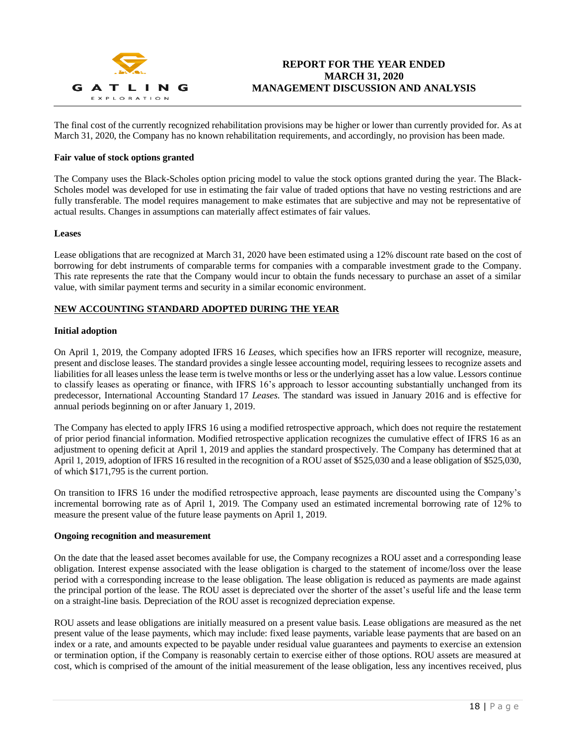

The final cost of the currently recognized rehabilitation provisions may be higher or lower than currently provided for. As at March 31, 2020, the Company has no known rehabilitation requirements, and accordingly, no provision has been made.

### **Fair value of stock options granted**

The Company uses the Black-Scholes option pricing model to value the stock options granted during the year. The Black-Scholes model was developed for use in estimating the fair value of traded options that have no vesting restrictions and are fully transferable. The model requires management to make estimates that are subjective and may not be representative of actual results. Changes in assumptions can materially affect estimates of fair values.

#### **Leases**

Lease obligations that are recognized at March 31, 2020 have been estimated using a 12% discount rate based on the cost of borrowing for debt instruments of comparable terms for companies with a comparable investment grade to the Company. This rate represents the rate that the Company would incur to obtain the funds necessary to purchase an asset of a similar value, with similar payment terms and security in a similar economic environment.

## **NEW ACCOUNTING STANDARD ADOPTED DURING THE YEAR**

### **Initial adoption**

On April 1, 2019, the Company adopted IFRS 16 *Leases*, which specifies how an IFRS reporter will recognize, measure, present and disclose leases. The standard provides a single lessee accounting model, requiring lessees to recognize assets and liabilities for all leases unless the lease term is twelve months or less or the underlying asset has a low value. Lessors continue to classify leases as operating or finance, with IFRS 16's approach to lessor accounting substantially unchanged from its predecessor, International Accounting Standard 17 *Leases*. The standard was issued in January 2016 and is effective for annual periods beginning on or after January 1, 2019.

The Company has elected to apply IFRS 16 using a modified retrospective approach, which does not require the restatement of prior period financial information. Modified retrospective application recognizes the cumulative effect of IFRS 16 as an adjustment to opening deficit at April 1, 2019 and applies the standard prospectively. The Company has determined that at April 1, 2019, adoption of IFRS 16 resulted in the recognition of a ROU asset of \$525,030 and a lease obligation of \$525,030, of which \$171,795 is the current portion.

On transition to IFRS 16 under the modified retrospective approach, lease payments are discounted using the Company's incremental borrowing rate as of April 1, 2019. The Company used an estimated incremental borrowing rate of 12% to measure the present value of the future lease payments on April 1, 2019.

#### **Ongoing recognition and measurement**

On the date that the leased asset becomes available for use, the Company recognizes a ROU asset and a corresponding lease obligation. Interest expense associated with the lease obligation is charged to the statement of income/loss over the lease period with a corresponding increase to the lease obligation. The lease obligation is reduced as payments are made against the principal portion of the lease. The ROU asset is depreciated over the shorter of the asset's useful life and the lease term on a straight-line basis. Depreciation of the ROU asset is recognized depreciation expense.

ROU assets and lease obligations are initially measured on a present value basis. Lease obligations are measured as the net present value of the lease payments, which may include: fixed lease payments, variable lease payments that are based on an index or a rate, and amounts expected to be payable under residual value guarantees and payments to exercise an extension or termination option, if the Company is reasonably certain to exercise either of those options. ROU assets are measured at cost, which is comprised of the amount of the initial measurement of the lease obligation, less any incentives received, plus